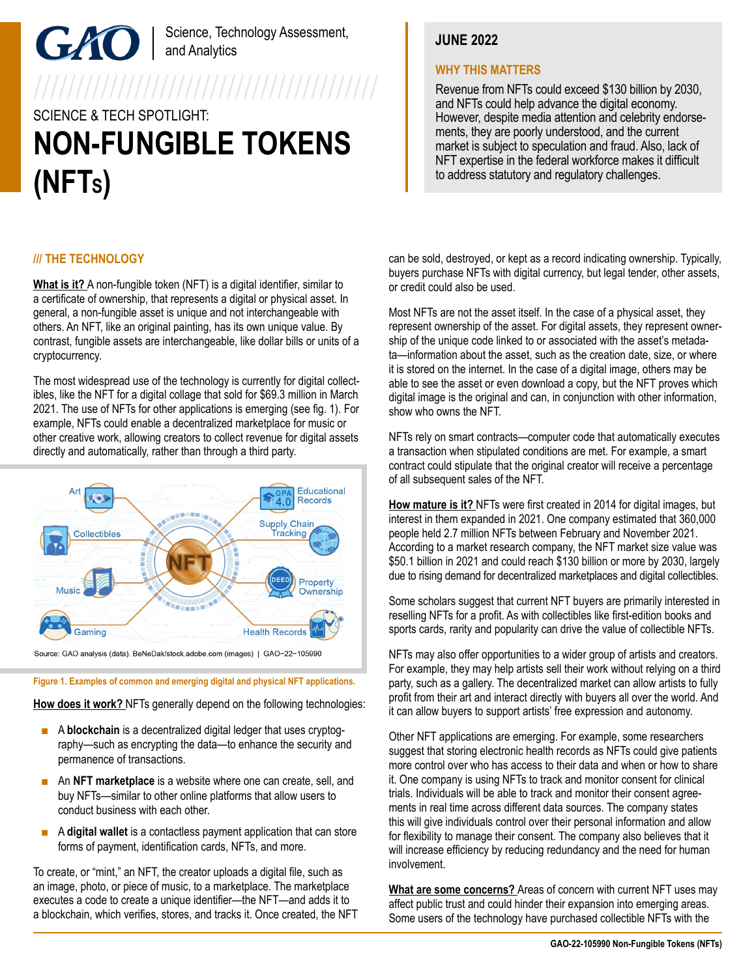# Science, Technology Assessment, and Analytics

# 7777777777777777777777777777777777777 SCIENCE & TECH SPOTLIGHT: **NON-FUNGIBLE TOKENS (NFTS)**

# **JUNE 2022**

## **WHY THIS MATTERS**

Revenue from NFTs could exceed \$130 billion by 2030, and NFTs could help advance the digital economy. However, despite media attention and celebrity endorsements, they are poorly understood, and the current market is subject to speculation and fraud. Also, lack of NFT expertise in the federal workforce makes it difficult to address statutory and regulatory challenges.

## **/// THE TECHNOLOGY**

**What is it?** A non-fungible token (NFT) is a digital identifier, similar to a certificate of ownership, that represents a digital or physical asset. In general, a non-fungible asset is unique and not interchangeable with others. An NFT, like an original painting, has its own unique value. By contrast, fungible assets are interchangeable, like dollar bills or units of a cryptocurrency.

The most widespread use of the technology is currently for digital collectibles, like the NFT for a digital collage that sold for \$69.3 million in March 2021. The use of NFTs for other applications is emerging (see fig. 1). For example, NFTs could enable a decentralized marketplace for music or other creative work, allowing creators to collect revenue for digital assets directly and automatically, rather than through a third party.



Source: GAO analysis (data). BeNeDak/stock.adobe.com (images) | GAO-22-105990

#### **Figure 1. Examples of common and emerging digital and physical NFT applications.**

**How does it work?** NFTs generally depend on the following technologies:

- A **blockchain** is a decentralized digital ledger that uses cryptography—such as encrypting the data—to enhance the security and permanence of transactions.
- An **NFT marketplace** is a website where one can create, sell, and buy NFTs—similar to other online platforms that allow users to conduct business with each other.
- A **digital wallet** is a contactless payment application that can store forms of payment, identification cards, NFTs, and more.

To create, or "mint," an NFT, the creator uploads a digital file, such as an image, photo, or piece of music, to a marketplace. The marketplace executes a code to create a unique identifier—the NFT—and adds it to a blockchain, which verifies, stores, and tracks it. Once created, the NFT can be sold, destroyed, or kept as a record indicating ownership. Typically, buyers purchase NFTs with digital currency, but legal tender, other assets, or credit could also be used.

Most NFTs are not the asset itself. In the case of a physical asset, they represent ownership of the asset. For digital assets, they represent ownership of the unique code linked to or associated with the asset's metadata—information about the asset, such as the creation date, size, or where it is stored on the internet. In the case of a digital image, others may be able to see the asset or even download a copy, but the NFT proves which digital image is the original and can, in conjunction with other information, show who owns the NFT.

NFTs rely on smart contracts—computer code that automatically executes a transaction when stipulated conditions are met. For example, a smart contract could stipulate that the original creator will receive a percentage of all subsequent sales of the NFT.

**How mature is it?** NFTs were first created in 2014 for digital images, but interest in them expanded in 2021. One company estimated that 360,000 people held 2.7 million NFTs between February and November 2021. According to a market research company, the NFT market size value was \$50.1 billion in 2021 and could reach \$130 billion or more by 2030, largely due to rising demand for decentralized marketplaces and digital collectibles.

Some scholars suggest that current NFT buyers are primarily interested in reselling NFTs for a profit. As with collectibles like first-edition books and sports cards, rarity and popularity can drive the value of collectible NFTs.

NFTs may also offer opportunities to a wider group of artists and creators. For example, they may help artists sell their work without relying on a third party, such as a gallery. The decentralized market can allow artists to fully profit from their art and interact directly with buyers all over the world. And it can allow buyers to support artists' free expression and autonomy.

Other NFT applications are emerging. For example, some researchers suggest that storing electronic health records as NFTs could give patients more control over who has access to their data and when or how to share it. One company is using NFTs to track and monitor consent for clinical trials. Individuals will be able to track and monitor their consent agreements in real time across different data sources. The company states this will give individuals control over their personal information and allow for flexibility to manage their consent. The company also believes that it will increase efficiency by reducing redundancy and the need for human involvement.

**What are some concerns?** Areas of concern with current NFT uses may affect public trust and could hinder their expansion into emerging areas. Some users of the technology have purchased collectible NFTs with the